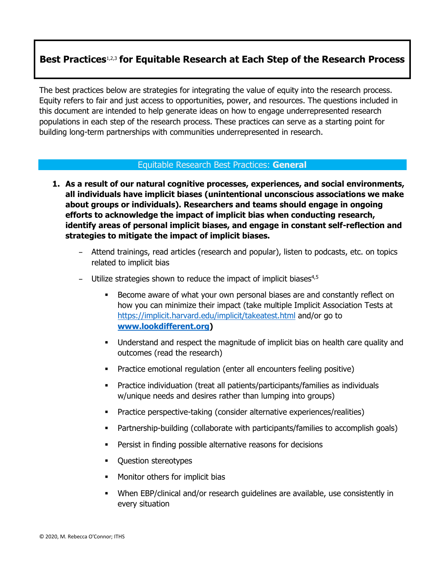# **Best Practices**1,2,3 **for Equitable Research at Each Step of the Research Process**

The best practices below are strategies for integrating the value of equity into the research process. Equity refers to fair and just access to opportunities, power, and resources. The questions included in this document are intended to help generate ideas on how to engage underrepresented research populations in each step of the research process. These practices can serve as a starting point for building long-term partnerships with communities underrepresented in research.

### Equitable Research Best Practices: **General**

- **1. As a result of our natural cognitive processes, experiences, and social environments, all individuals have implicit biases (unintentional unconscious associations we make about groups or individuals). Researchers and teams should engage in ongoing efforts to acknowledge the impact of implicit bias when conducting research, identify areas of personal implicit biases, and engage in constant self-reflection and strategies to mitigate the impact of implicit biases.**
	- Attend trainings, read articles (research and popular), listen to podcasts, etc. on topics related to implicit bias
	- Utilize strategies shown to reduce the impact of implicit biases $4.5$ 
		- Become aware of what your own personal biases are and constantly reflect on how you can minimize their impact (take multiple Implicit Association Tests at <https://implicit.harvard.edu/implicit/takeatest.html> and/or go to **[www.lookdifferent.org\)](http://www.lookdifferent.org/)**
		- Understand and respect the magnitude of implicit bias on health care quality and outcomes (read the research)
		- Practice emotional regulation (enter all encounters feeling positive)
		- Practice individuation (treat all patients/participants/families as individuals w/unique needs and desires rather than lumping into groups)
		- **•** Practice perspective-taking (consider alternative experiences/realities)
		- Partnership-building (collaborate with participants/families to accomplish goals)
		- Persist in finding possible alternative reasons for decisions
		- Question stereotypes
		- Monitor others for implicit bias
		- When EBP/clinical and/or research guidelines are available, use consistently in every situation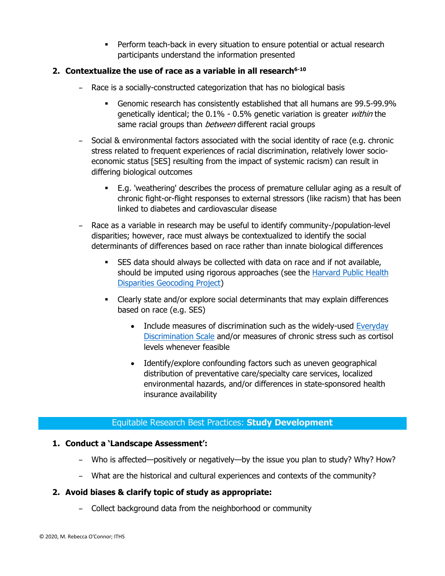**•** Perform teach-back in every situation to ensure potential or actual research participants understand the information presented

## **2. Contextualize the use of race as a variable in all research6-10**

- Race is a socially-constructed categorization that has no biological basis
	- Genomic research has consistently established that all humans are 99.5-99.9% genetically identical; the 0.1% - 0.5% genetic variation is greater within the same racial groups than *between* different racial groups
- Social & environmental factors associated with the social identity of race (e.g. chronic stress related to frequent experiences of racial discrimination, relatively lower socioeconomic status [SES] resulting from the impact of systemic racism) can result in differing biological outcomes
	- E.g. 'weathering' describes the process of premature cellular aging as a result of chronic fight-or-flight responses to external stressors (like racism) that has been linked to diabetes and cardiovascular disease
- Race as a variable in research may be useful to identify community-/population-level disparities; however, race must always be contextualized to identify the social determinants of differences based on race rather than innate biological differences
	- **EXEL** SES data should always be collected with data on race and if not available, should be imputed using rigorous approaches (see the [Harvard Public Health](https://www.hsph.harvard.edu/thegeocodingproject/)  [Disparities Geocoding Project\)](https://www.hsph.harvard.edu/thegeocodingproject/)
	- Clearly state and/or explore social determinants that may explain differences based on race (e.g. SES)
		- Include measures of discrimination such as the widely-used Everyday [Discrimination Scale](https://www.google.com/url?sa=t&rct=j&q=&esrc=s&source=web&cd=&ved=2ahUKEwjg8562u9XsAhU1O30KHVNyAH4QFjADegQICRAC&url=https%3A%2F%2Fscholar.harvard.edu%2Ffiles%2Fdavidrwilliams%2Ffiles%2Fmeasuring_discrimination_resource_june_2016.pdf&usg=AOvVaw3x0PQkckXkIcl8YeJwwGtS) and/or measures of chronic stress such as cortisol levels whenever feasible
		- Identify/explore confounding factors such as uneven geographical distribution of preventative care/specialty care services, localized environmental hazards, and/or differences in state-sponsored health insurance availability

# Equitable Research Best Practices: **Study Development**

# **1. Conduct a 'Landscape Assessment':**

- Who is affected—positively or negatively—by the issue you plan to study? Why? How?
- What are the historical and cultural experiences and contexts of the community?

### **2. Avoid biases & clarify topic of study as appropriate:**

– Collect background data from the neighborhood or community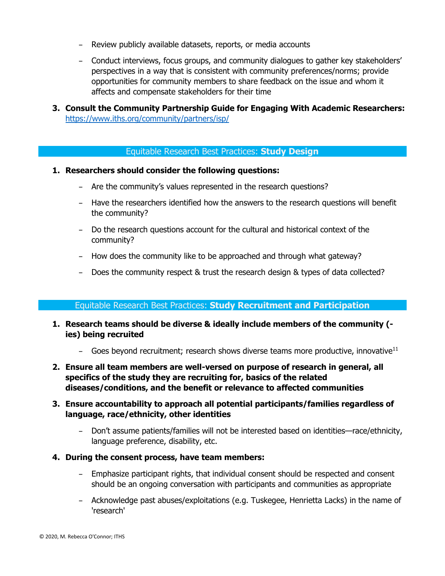- Review publicly available datasets, reports, or media accounts
- Conduct interviews, focus groups, and community dialogues to gather key stakeholders' perspectives in a way that is consistent with community preferences/norms; provide opportunities for community members to share feedback on the issue and whom it affects and compensate stakeholders for their time
- **3. Consult the Community Partnership Guide for Engaging With Academic Researchers:**  <https://www.iths.org/community/partners/isp/>

# Equitable Research Best Practices: **Study Design**

- **1. Researchers should consider the following questions:**
	- Are the community's values represented in the research questions?
	- Have the researchers identified how the answers to the research questions will benefit the community?
	- Do the research questions account for the cultural and historical context of the community?
	- How does the community like to be approached and through what gateway?
	- Does the community respect & trust the research design & types of data collected?

# Equitable Research Best Practices: **Study Recruitment and Participation**

- **1. Research teams should be diverse & ideally include members of the community ( ies) being recruited**
	- Goes beyond recruitment; research shows diverse teams more productive, innovative<sup>11</sup>
- **2. Ensure all team members are well-versed on purpose of research in general, all specifics of the study they are recruiting for, basics of the related diseases/conditions, and the benefit or relevance to affected communities**
- **3. Ensure accountability to approach all potential participants/families regardless of language, race/ethnicity, other identities** 
	- Don't assume patients/families will not be interested based on identities—race/ethnicity, language preference, disability, etc.
- **4. During the consent process, have team members:**
	- Emphasize participant rights, that individual consent should be respected and consent should be an ongoing conversation with participants and communities as appropriate
	- Acknowledge past abuses/exploitations (e.g. Tuskegee, Henrietta Lacks) in the name of 'research'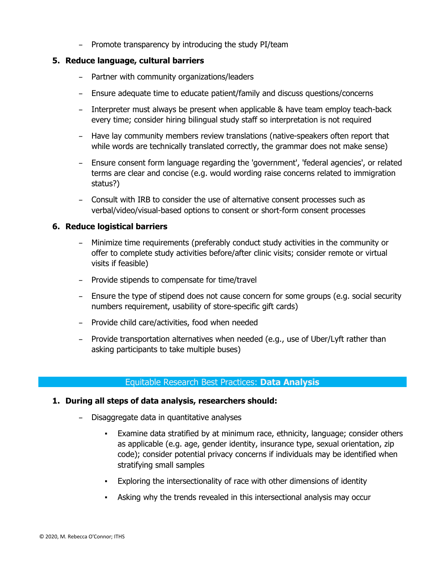– Promote transparency by introducing the study PI/team

### **5. Reduce language, cultural barriers**

- Partner with community organizations/leaders
- Ensure adequate time to educate patient/family and discuss questions/concerns
- Interpreter must always be present when applicable & have team employ teach-back every time; consider hiring bilingual study staff so interpretation is not required
- Have lay community members review translations (native-speakers often report that while words are technically translated correctly, the grammar does not make sense)
- Ensure consent form language regarding the 'government', 'federal agencies', or related terms are clear and concise (e.g. would wording raise concerns related to immigration status?)
- Consult with IRB to consider the use of alternative consent processes such as verbal/video/visual-based options to consent or short-form consent processes

## **6. Reduce logistical barriers**

- Minimize time requirements (preferably conduct study activities in the community or offer to complete study activities before/after clinic visits; consider remote or virtual visits if feasible)
- Provide stipends to compensate for time/travel
- Ensure the type of stipend does not cause concern for some groups (e.g. social security numbers requirement, usability of store-specific gift cards)
- Provide child care/activities, food when needed
- Provide transportation alternatives when needed (e.g., use of Uber/Lyft rather than asking participants to take multiple buses)

### Equitable Research Best Practices: **Data Analysis**

- **1. During all steps of data analysis, researchers should:**
	- Disaggregate data in quantitative analyses
		- Examine data stratified by at minimum race, ethnicity, language; consider others as applicable (e.g. age, gender identity, insurance type, sexual orientation, zip code); consider potential privacy concerns if individuals may be identified when stratifying small samples
		- **Exploring the intersectionality of race with other dimensions of identity**
		- Asking why the trends revealed in this intersectional analysis may occur